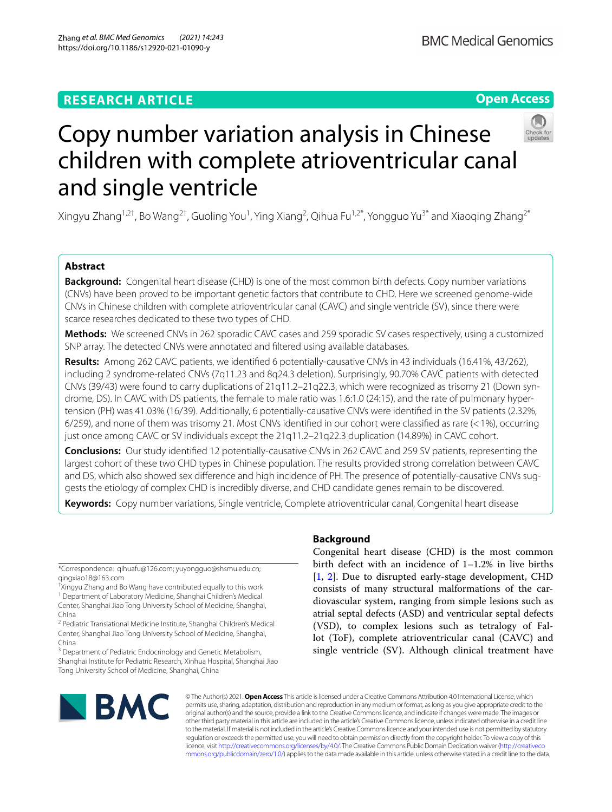# **RESEARCH ARTICLE**

# **Open Access**



# Copy number variation analysis in Chinese children with complete atrioventricular canal and single ventricle

Xingyu Zhang<sup>1,2†</sup>, Bo Wang<sup>2†</sup>, Guoling You<sup>1</sup>, Ying Xiang<sup>2</sup>, Qihua Fu<sup>1,2\*</sup>, Yongguo Yu<sup>3\*</sup> and Xiaoqing Zhang<sup>2\*</sup>

# **Abstract**

**Background:** Congenital heart disease (CHD) is one of the most common birth defects. Copy number variations (CNVs) have been proved to be important genetic factors that contribute to CHD. Here we screened genome-wide CNVs in Chinese children with complete atrioventricular canal (CAVC) and single ventricle (SV), since there were scarce researches dedicated to these two types of CHD.

**Methods:** We screened CNVs in 262 sporadic CAVC cases and 259 sporadic SV cases respectively, using a customized SNP array. The detected CNVs were annotated and fltered using available databases.

**Results:** Among 262 CAVC patients, we identifed 6 potentially-causative CNVs in 43 individuals (16.41%, 43/262), including 2 syndrome-related CNVs (7q11.23 and 8q24.3 deletion). Surprisingly, 90.70% CAVC patients with detected CNVs (39/43) were found to carry duplications of 21q11.2–21q22.3, which were recognized as trisomy 21 (Down syndrome, DS). In CAVC with DS patients, the female to male ratio was 1.6:1.0 (24:15), and the rate of pulmonary hypertension (PH) was 41.03% (16/39). Additionally, 6 potentially-causative CNVs were identifed in the SV patients (2.32%, 6/259), and none of them was trisomy 21. Most CNVs identifed in our cohort were classifed as rare (<1%), occurring just once among CAVC or SV individuals except the 21q11.2–21q22.3 duplication (14.89%) in CAVC cohort.

**Conclusions:** Our study identifed 12 potentially-causative CNVs in 262 CAVC and 259 SV patients, representing the largest cohort of these two CHD types in Chinese population. The results provided strong correlation between CAVC and DS, which also showed sex diference and high incidence of PH. The presence of potentially-causative CNVs suggests the etiology of complex CHD is incredibly diverse, and CHD candidate genes remain to be discovered.

**Keywords:** Copy number variations, Single ventricle, Complete atrioventricular canal, Congenital heart disease

\*Correspondence: qihuafu@126.com; yuyongguo@shsmu.edu.cn; qingxiao18@163.com

† Xingyu Zhang and Bo Wang have contributed equally to this work <sup>1</sup> Department of Laboratory Medicine, Shanghai Children's Medical Center, Shanghai Jiao Tong University School of Medicine, Shanghai, China

<sup>2</sup> Pediatric Translational Medicine Institute, Shanghai Children's Medical Center, Shanghai Jiao Tong University School of Medicine, Shanghai, China

<sup>3</sup> Department of Pediatric Endocrinology and Genetic Metabolism, Shanghai Institute for Pediatric Research, Xinhua Hospital, Shanghai Jiao Tong University School of Medicine, Shanghai, China

# **Background**

Congenital heart disease (CHD) is the most common birth defect with an incidence of 1–1.2% in live births [[1,](#page-10-0) [2\]](#page-10-1). Due to disrupted early-stage development, CHD consists of many structural malformations of the cardiovascular system, ranging from simple lesions such as atrial septal defects (ASD) and ventricular septal defects (VSD), to complex lesions such as tetralogy of Fallot (ToF), complete atrioventricular canal (CAVC) and single ventricle (SV). Although clinical treatment have



© The Author(s) 2021. **Open Access** This article is licensed under a Creative Commons Attribution 4.0 International License, which permits use, sharing, adaptation, distribution and reproduction in any medium or format, as long as you give appropriate credit to the original author(s) and the source, provide a link to the Creative Commons licence, and indicate if changes were made. The images or other third party material in this article are included in the article's Creative Commons licence, unless indicated otherwise in a credit line to the material. If material is not included in the article's Creative Commons licence and your intended use is not permitted by statutory regulation or exceeds the permitted use, you will need to obtain permission directly from the copyright holder. To view a copy of this licence, visit [http://creativecommons.org/licenses/by/4.0/.](http://creativecommons.org/licenses/by/4.0/) The Creative Commons Public Domain Dedication waiver ([http://creativeco](http://creativecommons.org/publicdomain/zero/1.0/) [mmons.org/publicdomain/zero/1.0/](http://creativecommons.org/publicdomain/zero/1.0/)) applies to the data made available in this article, unless otherwise stated in a credit line to the data.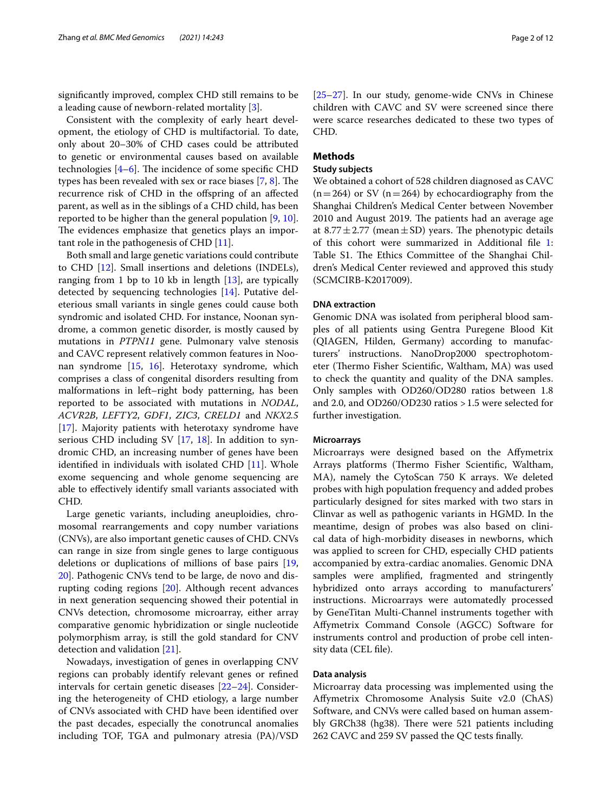signifcantly improved, complex CHD still remains to be a leading cause of newborn-related mortality [[3\]](#page-10-2).

Consistent with the complexity of early heart development, the etiology of CHD is multifactorial. To date, only about 20–30% of CHD cases could be attributed to genetic or environmental causes based on available technologies  $[4-6]$  $[4-6]$  $[4-6]$ . The incidence of some specific CHD types has been revealed with sex or race biases  $[7, 8]$  $[7, 8]$  $[7, 8]$  $[7, 8]$ . The recurrence risk of CHD in the ofspring of an afected parent, as well as in the siblings of a CHD child, has been reported to be higher than the general population [[9,](#page-10-7) [10](#page-10-8)]. The evidences emphasize that genetics plays an important role in the pathogenesis of CHD [\[11\]](#page-10-9).

Both small and large genetic variations could contribute to CHD [[12\]](#page-10-10). Small insertions and deletions (INDELs), ranging from 1 bp to 10 kb in length [\[13\]](#page-10-11), are typically detected by sequencing technologies [\[14](#page-10-12)]. Putative deleterious small variants in single genes could cause both syndromic and isolated CHD. For instance, Noonan syndrome, a common genetic disorder, is mostly caused by mutations in *PTPN11* gene. Pulmonary valve stenosis and CAVC represent relatively common features in Noonan syndrome [\[15](#page-10-13), [16\]](#page-10-14). Heterotaxy syndrome, which comprises a class of congenital disorders resulting from malformations in left–right body patterning, has been reported to be associated with mutations in *NODAL*, *ACVR2B*, *LEFTY2*, *GDF1*, *ZIC3*, *CRELD1* and *NKX2.5* [[17\]](#page-10-15). Majority patients with heterotaxy syndrome have serious CHD including SV [[17,](#page-10-15) [18](#page-10-16)]. In addition to syndromic CHD, an increasing number of genes have been identified in individuals with isolated CHD  $[11]$  $[11]$ . Whole exome sequencing and whole genome sequencing are able to efectively identify small variants associated with CHD.

Large genetic variants, including aneuploidies, chromosomal rearrangements and copy number variations (CNVs), are also important genetic causes of CHD. CNVs can range in size from single genes to large contiguous deletions or duplications of millions of base pairs [\[19](#page-10-17), [20\]](#page-10-18). Pathogenic CNVs tend to be large, de novo and disrupting coding regions [[20\]](#page-10-18). Although recent advances in next generation sequencing showed their potential in CNVs detection, chromosome microarray, either array comparative genomic hybridization or single nucleotide polymorphism array, is still the gold standard for CNV detection and validation [\[21\]](#page-10-19).

Nowadays, investigation of genes in overlapping CNV regions can probably identify relevant genes or refned intervals for certain genetic diseases [\[22](#page-10-20)[–24](#page-10-21)]. Considering the heterogeneity of CHD etiology, a large number of CNVs associated with CHD have been identifed over the past decades, especially the conotruncal anomalies including TOF, TGA and pulmonary atresia (PA)/VSD [[25–](#page-10-22)[27\]](#page-11-0). In our study, genome-wide CNVs in Chinese children with CAVC and SV were screened since there were scarce researches dedicated to these two types of CHD.

# **Methods**

# **Study subjects**

We obtained a cohort of 528 children diagnosed as CAVC  $(n=264)$  or SV  $(n=264)$  by echocardiography from the Shanghai Children's Medical Center between November 2010 and August 2019. The patients had an average age at 8.77 $\pm$ 2.77 (mean $\pm$ SD) years. The phenotypic details of this cohort were summarized in Additional fle [1](#page-10-23): Table S1. The Ethics Committee of the Shanghai Children's Medical Center reviewed and approved this study (SCMCIRB-K2017009).

#### **DNA extraction**

Genomic DNA was isolated from peripheral blood samples of all patients using Gentra Puregene Blood Kit (QIAGEN, Hilden, Germany) according to manufacturers' instructions. NanoDrop2000 spectrophotometer (Thermo Fisher Scientific, Waltham, MA) was used to check the quantity and quality of the DNA samples. Only samples with OD260/OD280 ratios between 1.8 and 2.0, and OD260/OD230 ratios >1.5 were selected for further investigation.

## **Microarrays**

Microarrays were designed based on the Afymetrix Arrays platforms (Thermo Fisher Scientific, Waltham, MA), namely the CytoScan 750 K arrays. We deleted probes with high population frequency and added probes particularly designed for sites marked with two stars in Clinvar as well as pathogenic variants in HGMD. In the meantime, design of probes was also based on clinical data of high-morbidity diseases in newborns, which was applied to screen for CHD, especially CHD patients accompanied by extra-cardiac anomalies. Genomic DNA samples were amplifed, fragmented and stringently hybridized onto arrays according to manufacturers' instructions. Microarrays were automatedly processed by GeneTitan Multi-Channel instruments together with Afymetrix Command Console (AGCC) Software for instruments control and production of probe cell intensity data (CEL fle).

#### **Data analysis**

Microarray data processing was implemented using the Afymetrix Chromosome Analysis Suite v2.0 (ChAS) Software, and CNVs were called based on human assembly GRCh38 (hg38). There were 521 patients including 262 CAVC and 259 SV passed the QC tests fnally.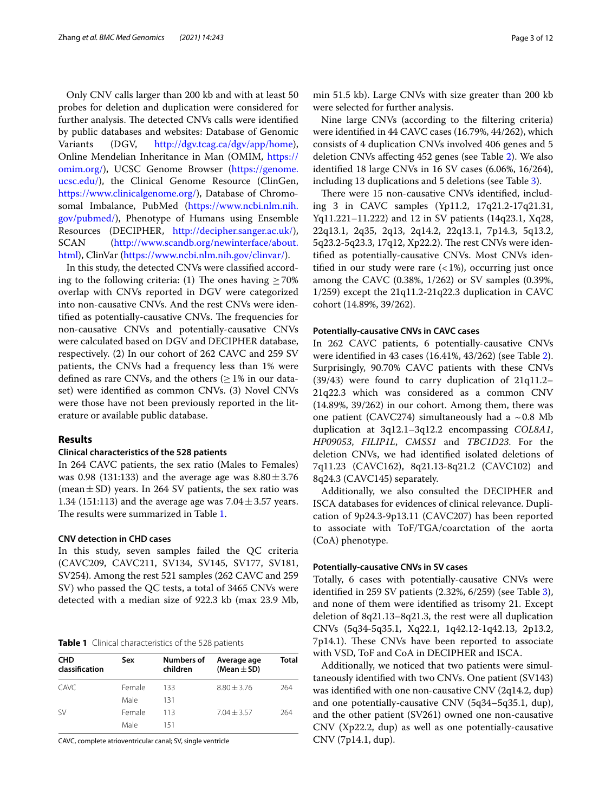Only CNV calls larger than 200 kb and with at least 50 probes for deletion and duplication were considered for further analysis. The detected CNVs calls were identified by public databases and websites: Database of Genomic Variants (DGV, <http://dgv.tcag.ca/dgv/app/home>), Online Mendelian Inheritance in Man (OMIM, [https://](https://omim.org/) [omim.org/](https://omim.org/)), UCSC Genome Browser [\(https://genome.](https://genome.ucsc.edu/) [ucsc.edu/](https://genome.ucsc.edu/)), the Clinical Genome Resource (ClinGen, <https://www.clinicalgenome.org/>), Database of Chromosomal Imbalance, PubMed [\(https://www.ncbi.nlm.nih.](https://www.ncbi.nlm.nih.gov/pubmed/) [gov/pubmed/](https://www.ncbi.nlm.nih.gov/pubmed/)), Phenotype of Humans using Ensemble Resources (DECIPHER, <http://decipher.sanger.ac.uk/>), SCAN ([http://www.scandb.org/newinterface/about.](http://www.scandb.org/newinterface/about.html) [html](http://www.scandb.org/newinterface/about.html)), ClinVar [\(https://www.ncbi.nlm.nih.gov/clinvar/](https://www.ncbi.nlm.nih.gov/clinvar/)).

In this study, the detected CNVs were classifed according to the following criteria: (1) The ones having  $\geq 70\%$ overlap with CNVs reported in DGV were categorized into non-causative CNVs. And the rest CNVs were identified as potentially-causative CNVs. The frequencies for non-causative CNVs and potentially-causative CNVs were calculated based on DGV and DECIPHER database, respectively. (2) In our cohort of 262 CAVC and 259 SV patients, the CNVs had a frequency less than 1% were defined as rare CNVs, and the others  $(>1\%$  in our dataset) were identifed as common CNVs. (3) Novel CNVs were those have not been previously reported in the literature or available public database.

#### **Results**

# **Clinical characteristics of the 528 patients**

In 264 CAVC patients, the sex ratio (Males to Females) was 0.98 (131:133) and the average age was  $8.80 \pm 3.76$ (mean $\pm$ SD) years. In 264 SV patients, the sex ratio was 1.34 (151:113) and the average age was  $7.04 \pm 3.57$  years. The results were summarized in Table [1.](#page-2-0)

# **CNV detection in CHD cases**

In this study, seven samples failed the QC criteria (CAVC209, CAVC211, SV134, SV145, SV177, SV181, SV254). Among the rest 521 samples (262 CAVC and 259 SV) who passed the QC tests, a total of 3465 CNVs were detected with a median size of 922.3 kb (max 23.9 Mb,

<span id="page-2-0"></span>

|  |  | Table 1 Clinical characteristics of the 528 patients |  |  |  |
|--|--|------------------------------------------------------|--|--|--|
|--|--|------------------------------------------------------|--|--|--|

| <b>CHD</b><br>classification | Sex    | <b>Numbers of</b><br>children | Average age<br>(Mean $\pm$ SD) | Total |
|------------------------------|--------|-------------------------------|--------------------------------|-------|
| CAVC <sub></sub>             | Female | 133                           | $8.80 + 3.76$                  | 264   |
|                              | Male   | 131                           |                                |       |
| .SV                          | Female | 113                           | $7.04 \pm 3.57$                | 264   |
|                              | Male   | 151                           |                                |       |

CAVC, complete atrioventricular canal; SV, single ventricle

min 51.5 kb). Large CNVs with size greater than 200 kb were selected for further analysis.

Nine large CNVs (according to the fltering criteria) were identifed in 44 CAVC cases (16.79%, 44/262), which consists of 4 duplication CNVs involved 406 genes and 5 deletion CNVs afecting 452 genes (see Table [2\)](#page-3-0). We also identifed 18 large CNVs in 16 SV cases (6.06%, 16/264), including 13 duplications and 5 deletions (see Table [3\)](#page-6-0).

There were 15 non-causative CNVs identified, including 3 in CAVC samples (Yp11.2, 17q21.2-17q21.31, Yq11.221–11.222) and 12 in SV patients (14q23.1, Xq28, 22q13.1, 2q35, 2q13, 2q14.2, 22q13.1, 7p14.3, 5q13.2, 5q23.2-5q23.3, 17q12, Xp22.2). The rest CNVs were identifed as potentially-causative CNVs. Most CNVs identified in our study were rare  $\left($  < 1%), occurring just once among the CAVC (0.38%, 1/262) or SV samples (0.39%, 1/259) except the 21q11.2-21q22.3 duplication in CAVC cohort (14.89%, 39/262).

#### **Potentially‑causative CNVs in CAVC cases**

In 262 CAVC patients, 6 potentially-causative CNVs were identifed in 43 cases (16.41%, 43/262) (see Table [2](#page-3-0)). Surprisingly, 90.70% CAVC patients with these CNVs (39/43) were found to carry duplication of 21q11.2– 21q22.3 which was considered as a common CNV (14.89%, 39/262) in our cohort. Among them, there was one patient (CAVC274) simultaneously had a  $\sim$  0.8 Mb duplication at 3q12.1–3q12.2 encompassing *COL8A1*, *HP09053*, *FILIP1L*, *CMSS1* and *TBC1D23*. For the deletion CNVs, we had identifed isolated deletions of 7q11.23 (CAVC162), 8q21.13-8q21.2 (CAVC102) and 8q24.3 (CAVC145) separately.

Additionally, we also consulted the DECIPHER and ISCA databases for evidences of clinical relevance. Duplication of 9p24.3-9p13.11 (CAVC207) has been reported to associate with ToF/TGA/coarctation of the aorta (CoA) phenotype.

### **Potentially‑causative CNVs in SV cases**

Totally, 6 cases with potentially-causative CNVs were identifed in 259 SV patients (2.32%, 6/259) (see Table [3](#page-6-0)), and none of them were identifed as trisomy 21. Except deletion of 8q21.13–8q21.3, the rest were all duplication CNVs (5q34-5q35.1, Xq22.1, 1q42.12-1q42.13, 2p13.2, 7p14.1). These CNVs have been reported to associate with VSD, ToF and CoA in DECIPHER and ISCA.

Additionally, we noticed that two patients were simultaneously identifed with two CNVs. One patient (SV143) was identifed with one non-causative CNV (2q14.2, dup) and one potentially-causative CNV (5q34–5q35.1, dup), and the other patient (SV261) owned one non-causative CNV (Xp22.2, dup) as well as one potentially-causative CNV (7p14.1, dup).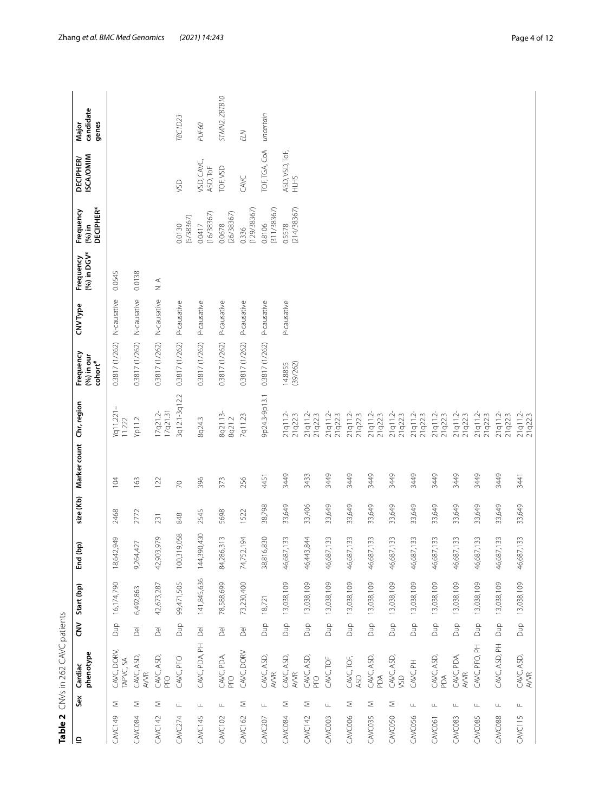<span id="page-3-0"></span>

|                                   | candidate<br>genes<br>Major                                    |                          |                         |                      | <b>TBC1D23</b>      | PUF60                   | STMN2, ZBTB10        | <b>ELN</b>           | uncertain             |                        |                     |                     |                     |                     |                         |                     |                            |                     |                     |                     |                     |
|-----------------------------------|----------------------------------------------------------------|--------------------------|-------------------------|----------------------|---------------------|-------------------------|----------------------|----------------------|-----------------------|------------------------|---------------------|---------------------|---------------------|---------------------|-------------------------|---------------------|----------------------------|---------------------|---------------------|---------------------|---------------------|
|                                   | <b>ISCA/OMIM</b><br><b>DECIPHER</b>                            |                          |                         |                      | <b>SD</b>           | VSD, CAVC,<br>ASD, ToF  | TOF, VSD             | CAVC                 | TOF, TGA, CoA         | ASD, VSD, ToF,<br>SHTH |                     |                     |                     |                     |                         |                     |                            |                     |                     |                     |                     |
|                                   | <b>DECIPHER*</b><br>Frequency<br>$(96)$ in                     |                          |                         |                      | (5/38367)<br>0.0130 | (16/38367)<br>0.0417    | (26/38367)<br>0.0678 | (129/38367)<br>0.336 | (311/38367)<br>0.8106 | (214/38367)<br>0.5578  |                     |                     |                     |                     |                         |                     |                            |                     |                     |                     |                     |
|                                   | (%) in DGV*<br>Frequency                                       | 0.0545                   | 0.0138                  | $\frac{1}{\alpha}$   |                     |                         |                      |                      |                       |                        |                     |                     |                     |                     |                         |                     |                            |                     |                     |                     |                     |
|                                   | CNV Type                                                       | N-causative              | N-causative             | N-causative          | P-causative         | P-causative             | P-causative          | P-causative          | P-causative           | P-causative            |                     |                     |                     |                     |                         |                     |                            |                     |                     |                     |                     |
|                                   | Frequency<br>$(96)$ in our<br>$\mathop{\rm cohort}\nolimits^*$ | 0.3817 (1/262)           | 0.3817 (1/262)          | 0.3817 (1/262)       | 0.3817 (1/262)      | 0.3817 (1/262)          | 0.3817 (1/262)       | 0.3817 (1/262)       | 0.3817 (1/262)        | (39/262)<br>14.8855    |                     |                     |                     |                     |                         |                     |                            |                     |                     |                     |                     |
|                                   |                                                                | (q11.221<br>11.222       | Yp11.2                  | 17q21.31<br>17q21.2- | 3q12.1-3q12.2       | 8q24.3                  | 8q21.13-<br>8q21.2   | 7q11.23              | 9p24.3-9p13.1         | 21q11.2-<br>21q22.3    | 21q11.2-<br>21q22.3 | 21q11.2-<br>21q22.3 | 21q11.2-<br>21q22.3 | 21q11.2-<br>21q22.3 | 21q11.2-<br>21q22.3     | 21q11.2-<br>21q22.3 | 21q11.2-<br>21q22.3        | 21q11.2-<br>21q22.3 | 21q11.2-<br>21q22.3 | 21q11.2-<br>21q22.3 | 21q11.2-<br>21q22.3 |
|                                   | Marker count Chr, region                                       | 104                      | 163                     | 122                  | $\approx$           | 396                     | 373                  | 256                  | 4451                  | 3449                   | 3433                | 3449                | 3449                | 3449                | 3449                    | 3449                | 3449                       | 3449                | 3449                | 3449                | 3441                |
|                                   | size (Kb)                                                      | 2468                     | 2772                    | 231                  | 848                 | 2545                    | 5698                 | 1522                 | 38,798                | 33,649                 | 33,406              | 33,649              | 33,649              | 33,649              | 33,649                  | 33,649              | 33,649                     | 33,649              | 33,649              | 33,649              | 33,649              |
|                                   | <b>Qq</b><br>End                                               | 18,642,949               | 9,264,427               | 42,903,979           | 100,319,058         | 144,390,430             | 84,286,313           | 74,752,194           | 38,816,830            | 46,687,133             | 46,443,844          | 46,687,133          | 46,687,133          | 46,687,133          | 46,687,133              | 46,687,133          | 46,687,133                 | 46,687,133          | 46,687,133          | 46,687,133          | 46,687,133          |
|                                   | Start (bp)                                                     | 16,174,790               | 6,492,863               | 42,673,287           | 99,471,505          | 141,845,636             | 78,588,699           | 73,230,400           | 18,721                | 13,038,109             | 13,038,109          | 13,038,109          | 13,038,109          | 13,038,109          | 13,038,109              | 13,038,109          | 13,038,109                 | 13,038,109          | 13,038,109          | 13,038,109          | Dup 13,038,109      |
|                                   | š                                                              | <b>Dup</b>               | $\overline{\mathbb{B}}$ | $\overline{D}$ el    | <b>a</b> uQ         | $\overline{\mathbb{B}}$ | $\overline{D}$ el    | $\overline{D}$ el    | <b>Bup</b>            | eng                    | pup                 | qna                 | <b>S</b>            | <b>Bup</b>          | qnq                     | <b>ang</b>          | <b>a</b> uQ                | Dup                 | Dup                 | Dup                 |                     |
| Table 2 CNVs in 262 CAVC patients | phenotype<br>Cardiac                                           | CAVC, DORV,<br>TAPVC, SA | CAVC, ASD,<br>AVVR      | CAVC, ASD,<br>PFO    | CAVC, PFO           | CAVC, PDA, PH           | CAVC, PDA,<br>PFO    | CAVC, DORV           | CAVC, ASD,<br>AVVR    | CAVC, ASD,<br>AVVR     | CAVC, ASD,<br>PFO   | CAVC, TOF           | CAVC, TOF,<br>ASD   | CAVC, ASD,<br>pDA   | CAVC, ASD,<br><b>SD</b> | CAVC, PH            | CAVC, ASD,<br>$\mathbb{R}$ | CAVC, PDA,<br>AVVR  | CAVC, PFO, PH       | CAVC, ASD, PH       | CAVC, ASD,<br>AVVR  |
|                                   | Sex                                                            | Σ                        | Σ                       | Σ                    | Щ                   | $\frac{1}{2}$           | $\sqcup\!\sqcup$     | Σ                    | Щ                     | $\leq$                 | $\geq$              | Щ                   | $\geq$              | Σ                   | $\geq$                  | $\frac{1}{2}$       | Щ                          | Щ                   | Щ                   | $\sqcup$            | $\sqcup\!\sqcup$    |
|                                   | $\mathbf{r}$                                                   | <b>CAVC149</b>           | <b>CAVC084</b>          | <b>CAVC142</b>       | <b>CAVC274</b>      | <b>CAVC145</b>          | <b>CAVC102</b>       | <b>CAVC162</b>       | <b>CAVC207</b>        | <b>CAVC084</b>         | <b>CAVC142</b>      | CAVC003             | CAVC006             | CAVC035             | CAVC050                 | CAVC056             | <b>CAVC061</b>             | CAVC <sub>083</sub> | CAVC <sub>085</sub> | CAVC088             | CAVC115             |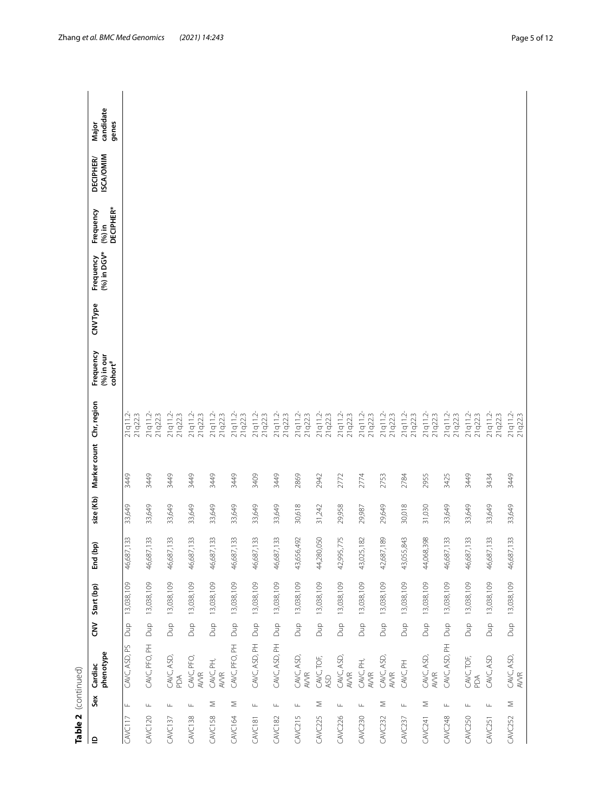| Table 2 (continued) |               |                      |                    |                |                         |           |                          |                     |                                                   |          |                          |                                            |                                     |                             |
|---------------------|---------------|----------------------|--------------------|----------------|-------------------------|-----------|--------------------------|---------------------|---------------------------------------------------|----------|--------------------------|--------------------------------------------|-------------------------------------|-----------------------------|
| $\mathbf{r}$        | Sex           | phenotype<br>Cardiac | $\tilde{\epsilon}$ | Start (bp)     | ൳<br>End (bp            | size (Kb) | Marker count Chr, region |                     | Frequency<br>$(96)$ in our<br>cohort <sup>#</sup> | CNV Type | (%) in DGV*<br>Frequency | <b>DECIPHER*</b><br>Frequency<br>$(96)$ in | <b>ISCA/OMIM</b><br><b>DECIPHER</b> | candidate<br>genes<br>Major |
| <b>CAVC117</b>      | Щ             | CAVC, ASD, PS        | Dup                | 13,038,109     | 33<br>46,687,           | 33,649    | 3449                     | 21q11.2-<br>21q22.3 |                                                   |          |                          |                                            |                                     |                             |
| <b>CAVC120</b>      | $\sqcup$      | CAVC, PFO, PH        |                    | Dup 13,038,109 | 33<br>46,687,1          | 33,649    | 3449                     | 21q11.2-<br>21q22.3 |                                                   |          |                          |                                            |                                     |                             |
| <b>CAVC137</b>      | $\sqcup$      | CAVC, ASD,<br>PDA    | ang                | 13,038,109     | 33<br>46,687,1          | 33,649    | 3449                     | 21q11.2-<br>21q22.3 |                                                   |          |                          |                                            |                                     |                             |
| <b>CAVC138</b>      | Щ             | CAVC, PFO,<br>AVVR   | <b>S</b>           | 13,038,109     | 33<br>46,687,1          | 33,649    | 3449                     | 21q11.2-<br>21q22.3 |                                                   |          |                          |                                            |                                     |                             |
| <b>CAVC158</b>      | Σ             | CAVC, PH,<br>AVVR    | <b>Sup</b>         | 13,038,109     | 33<br>46,687,1          | 33,649    | 3449                     | 21q11.2-<br>21q22.3 |                                                   |          |                          |                                            |                                     |                             |
| <b>CAVC164</b>      | Σ             | CAVC, PFO, PH        | <b>Dup</b>         | 13,038,109     | 33<br>46,687,1          | 33,649    | 3449                     | 21q11.2-<br>21q22.3 |                                                   |          |                          |                                            |                                     |                             |
| <b>CAVC181</b>      | Щ             | CAVC, ASD, PH        | <b>Bug</b>         | 13,038,109     | 33<br>46,687,1          | 33,649    | 3409                     | 21q11.2-<br>21q22.3 |                                                   |          |                          |                                            |                                     |                             |
| <b>CAVC182</b>      | $\sqcup$      | CAVC, ASD, PH        | <b>Dup</b>         | 13,038,109     | $33$<br>46,687,1        | 33,649    | 3449                     | 21q11.2-<br>21q22.3 |                                                   |          |                          |                                            |                                     |                             |
| <b>CAVC215</b>      | $\frac{1}{2}$ | CAVC, ASD,<br>AVVR   | <b>a</b> uQ        | 13,038,109     | 492<br>43,656,4         | 30,618    | 2869                     | 21q11.2-<br>21q22.3 |                                                   |          |                          |                                            |                                     |                             |
| <b>CAVC225</b>      | Σ             | CAVC, TOF,<br>ASD    | рща                | 13,038,109     | $\mathbb S$<br>44,280,0 | 31,242    | 2942                     | 21q11.2-<br>21q22.3 |                                                   |          |                          |                                            |                                     |                             |
| <b>CAVC226</b>      | Щ             | CAVC, ASD,<br>AVVR   | ang                | 13,038,109     | 42,995,775              | 29,958    | 2772                     | 21q11.2-<br>21q22.3 |                                                   |          |                          |                                            |                                     |                             |
| <b>CAVC230</b>      | Щ             | CAVC, PH,<br>AVVR    | <b>Buc</b>         | 13,038,109     | 82<br>43,025,1          | 29,987    | 2774                     | 21q11.2-<br>21q22.3 |                                                   |          |                          |                                            |                                     |                             |
| <b>CAVC232</b>      | Σ             | CAVC, ASD,<br>AVVR   | <b>S</b>           | 13,038,109     | 89<br>42,687,1          | 29,649    | 2753                     | 21q11.2-<br>21q22.3 |                                                   |          |                          |                                            |                                     |                             |
| <b>CAVC237</b>      | Щ             | CAVC, PH             | ghQ                | 13,038,109     | 43,055,843              | 30,018    | 2784                     | 21q11.2-<br>21q22.3 |                                                   |          |                          |                                            |                                     |                             |
| <b>CAVC241</b>      | Σ             | CAVC, ASD,<br>AVVR   | gha                | 13,038,109     | 98<br>44,068,3          | 31,030    | 2955                     | 21q11.2-<br>21q22.3 |                                                   |          |                          |                                            |                                     |                             |
| <b>CAVC248</b>      | $\frac{1}{2}$ | CAVC, ASD, PH        | Dup                | 13,038,109     | 33<br>46,687,1          | 33,649    | 3425                     | 21q11.2-<br>21q22.3 |                                                   |          |                          |                                            |                                     |                             |
| <b>CAVC250</b>      | Щ             | CAVC, TOF,<br>ΛQ     | eng                | 13,038,109     | 33<br>46,687,1          | 33,649    | 3449                     | 21q11.2-<br>21q22.3 |                                                   |          |                          |                                            |                                     |                             |
| <b>CAVC251</b>      | Щ             | CAVC, ASD            | ghQ                | 13,038,109     | 33<br>46,687,1          | 33,649    | 3434                     | 21q11.2-<br>21q22.3 |                                                   |          |                          |                                            |                                     |                             |
| <b>CAVC252</b>      | $\leq$        | CAVC, ASD,<br>AVVR   |                    | Dup 13,038,109 | 33<br>46,687,1          | 33,649    | 3449                     | 21q11.2-<br>21q22.3 |                                                   |          |                          |                                            |                                     |                             |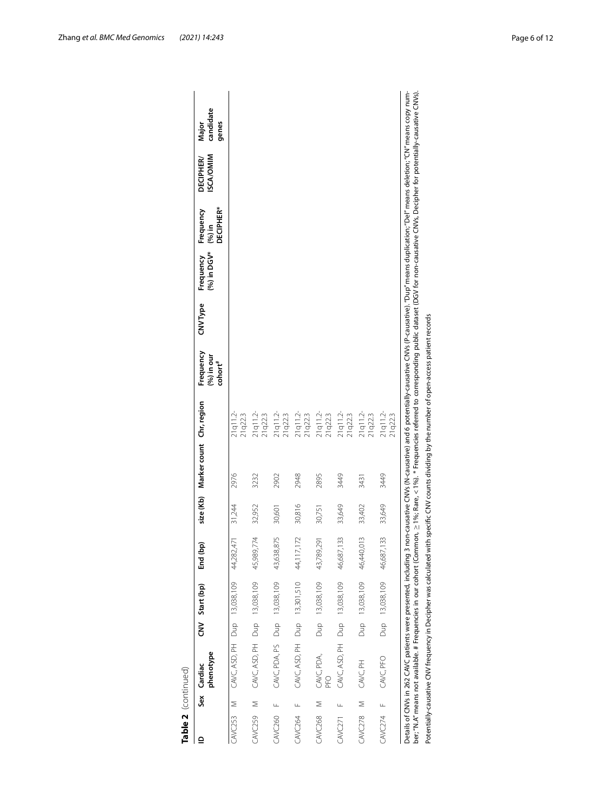|                               | phenotype<br>Cardiac         | CNV Start (bp)               | End (bp)       | size (Kb) | Marker count Chr, region |                        | Frequency<br>(%) in our<br>cohort <sup>#</sup> | <b>CNVType</b> | (%) in DGV*<br>Frequency | DECIPHER*<br>Frequency<br>$(96)$ in | <b>ISCA/OMIM</b><br><b>DECIPHER</b> | candidate<br>genes<br>Major |
|-------------------------------|------------------------------|------------------------------|----------------|-----------|--------------------------|------------------------|------------------------------------------------|----------------|--------------------------|-------------------------------------|-------------------------------------|-----------------------------|
| $\leq$<br>CAVC <sub>253</sub> | CAVC, ASD, PH Dup 13,038,109 |                              | 44,282,471     | 31,244    | 2976                     | 21q11.2-<br>21q22.3    |                                                |                |                          |                                     |                                     |                             |
| CAVC259 M                     |                              | CAVC, ASD, PH Dup 13,038,109 | 45,989,774     | 32,952    | 3232                     | 21q11.2<br>21q22.3     |                                                |                |                          |                                     |                                     |                             |
| CAVC260 F                     |                              | CAVC, PDA, PS Dup 13,038,109 | 43,638,875     | 30,601    | 2902                     | 21q11.2-<br>21q22.3    |                                                |                |                          |                                     |                                     |                             |
| CAVC264 F                     |                              | CAVC, ASD, PH Dup 13,301,510 | 72<br>44,117,1 | 30,816    | 2948                     | 21q11.2<br>21q22.3     |                                                |                |                          |                                     |                                     |                             |
| $\leq$<br><b>CAVC268</b>      | CAVC, PDA,                   | Dup 13,038,109               | 43,789,291     | 30,751    | 2895                     | $21q11.2-$<br>21q22.3  |                                                |                |                          |                                     |                                     |                             |
| щ<br><b>CAVC271</b>           | CAVC, ASD, PH Dup 13,038,109 |                              | 33<br>46,687,1 | 33,649    | 3449                     | $21q11.2 -$<br>21q22.3 |                                                |                |                          |                                     |                                     |                             |
| CAVC278 M                     | CAVC, PH                     | Dup 13,038,109               | 46,440,013     | 33,402    | 3431                     | 21q11.2-<br>21q22.3    |                                                |                |                          |                                     |                                     |                             |
| CAVC274 F                     | CAVC, PFO                    | Dup 13,038,109               | 33<br>46,687,1 | 33,649    | 3449                     | 21q11.2-<br>21q22.3    |                                                |                |                          |                                     |                                     |                             |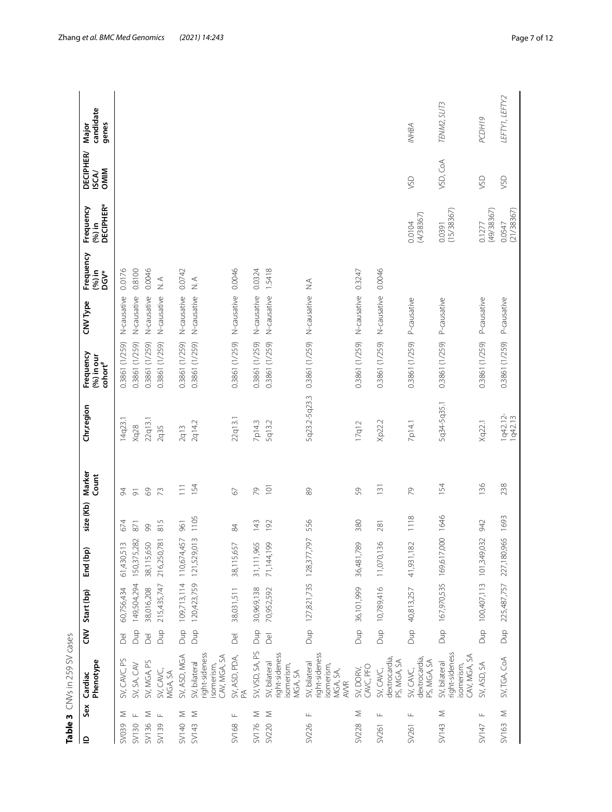<span id="page-6-0"></span>

| Sex<br>≘               | Phenotype<br>Cardiac                                                     | Š                       | Start (bp)                  | ัธ<br>End (bp          | size (Kb)     | Marker<br>Count  | Chr,region          | Frequency<br>(%) in our | CNV Type    | Frequency<br>$(96)$ in       | Frequency<br>$(96)$ in | <b>DECIPHER</b><br><b>ISCA/</b> | candidate<br>Major |
|------------------------|--------------------------------------------------------------------------|-------------------------|-----------------------------|------------------------|---------------|------------------|---------------------|-------------------------|-------------|------------------------------|------------------------|---------------------------------|--------------------|
|                        |                                                                          |                         |                             |                        |               |                  |                     | $\mathsf{cohort}^{\#}$  |             | <b>DGV*</b>                  | <b>DECIPHER*</b>       | OMIM                            | genes              |
| Σ<br><b>SV039</b>      | SV, CAVC, PS                                                             | $\overline{8}$          | 60,756,434                  | 61,430,513             | 674           | 84               | 14q23.1             | 0.3861 (1/259)          | N-causative | 0.0176                       |                        |                                 |                    |
| SV130                  | SV, SA, CAV                                                              | Dup                     | 149,504,294                 | ,282<br>150,375,       | 871           | $\overline{5}$   | Xq28                | 0.3861 (1/259)          | N-causative | 0.8100                       |                        |                                 |                    |
| Σ<br>SV136             | SV, MGA, PS                                                              | $\overline{D}$ el       | 38,016,208                  | 38,115,650             | 8             | $\odot$          | 22q13.1             | 0.3861 (1/259)          | N-causative | 0.0046                       |                        |                                 |                    |
| $\sqcup$<br>SV139      | SV, CAVC,<br>MGA, SA                                                     | pup                     | 215,435,747                 | 216,250,781            | 815           | $\mathcal{L}$    | 2q35                | 0.3861 (1/259)          | N-causative | $\frac{1}{2}$                |                        |                                 |                    |
| Σ<br>SV140             | SV, ASD, MGA                                                             | <b>Sup</b>              | 109,713,114                 | <b>457</b><br>110,674, | 961           | $\overline{11}$  | 2q13                | 0.3861 (1/259)          | N-causative | 0.0742                       |                        |                                 |                    |
| Σ<br>SV143             | right-sideness<br>CAV, MGA, SA<br>SV, bilateral<br>isomerism,            | <b>ang</b>              | 120,423,759                 | 013<br>121,529,        | 1105          | 154              | 2q14.2              | 0.3861 (1/259)          | N-causative | $\leq$ $\geq$                |                        |                                 |                    |
| Щ<br><b>SV168</b>      | SV, ASD, PDA,<br>PA                                                      | $\overline{\mathbb{D}}$ | 38,031,511                  | 57<br>38,115,6         | $\frac{8}{4}$ | 67               | 22q13.1             | 0.3861 (1/259)          | N-causative | 0.0046                       |                        |                                 |                    |
| Σ<br>SV176             | SV, VSD, SA, PS                                                          | Dup                     | 30,969,138                  | 31,111,965             | 143           | 29               | 7p14.3              | 0.3861 (1/259)          | N-causative | 0.0324                       |                        |                                 |                    |
| Σ<br>SV220             | ight-sideness<br>SV, bilateral<br>isomerism,<br>MGA, SA                  | $\overline{D}$          | 70,952,592                  | 8<br>71,144,7          | 192           | $\overline{O}$   | 5q13.2              | 0.3861 (1/259)          | N-causative | 1.5418                       |                        |                                 |                    |
| Щ<br>SV226             | right-sideness<br>SV, bilateral<br>isomerism,<br>MGA, SA,<br><b>AVVR</b> |                         | Dup 127,821,735 128,377,797 |                        | 556           | 89               | 5q23.2-5q23.3       | 0.3861 (1/259)          | N-causative | $\stackrel{\triangle}{\geq}$ |                        |                                 |                    |
| Σ<br>SV228             | CAVC, PFO<br>SV, DORV,                                                   |                         | Dup 36,101,999              | 89<br>36,481,          | 380           | 59               | 17q12               | 0.3861 (1/259)          | N-causative | 0.3247                       |                        |                                 |                    |
| Щ<br>SV261             | dextrocardia,<br>PS, MGA, SA<br>SV, CAVC,                                |                         | Dup 10,789,416              | $\%$<br>11,070,        | 281           | $\overline{131}$ | Xp22.2              | 0.3861 (1/259)          | N-causative | 0.0046                       |                        |                                 |                    |
| Щ<br>SV261             | dextrocardia,<br>PS, MGA, SA<br>SV, CAVC,                                | <b>Bup</b>              | 40,813,257                  | 82<br>41,931,          | 1118          | 29               | 7p14.1              | 0.3861 (1/259)          | P-causative |                              | (4/38367)<br>0.0104    | <b>USV</b>                      | <b>INHBA</b>       |
| Σ<br>SVI43             | right-sideness<br>CAV, MGA, SA<br>SV, bilateral<br>isomerism,            |                         | Dup 167,970,535 169,617     | ,000 1646              |               | 154              | 5q34-5q35.1         | 0.3861 (1/259)          | P-causative |                              | (15/38367)<br>0.0391   | VSD, CoA                        | TENM2, SLIT3       |
| Щ<br>SVI47             | SV, ASD, SA                                                              |                         | Dup 100,407,113 101,349     | .032                   | 942           | 136              | Xq22.1              | 0.3861 (1/259)          | P-causative |                              | (49/38367)<br>0.1277   | VSD                             | PCDH19             |
| $\geq$<br><b>SV163</b> | SV, TGA, CoA                                                             |                         | Dup 225,487,757 227,180     | 0,965                  | 1693          | 238              | 1q42.12-<br>1q42.13 | 0.3861 (1/259)          | P-causative |                              | (21/38367)<br>0.0547   | <b>SSD</b>                      | LEFTY1, LEFTY2     |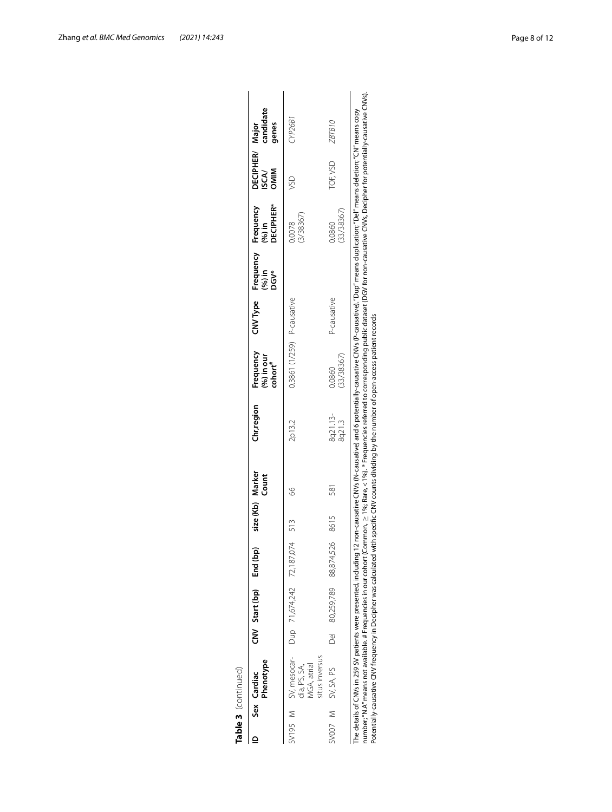| Table 3 (continued)                                                                                                                                                                                                                                                                                                                                                                                                                                  |                         |                           |                  |       |                    |                                                                                                                                                   |             |                                                                  |                      |                                         |                    |
|------------------------------------------------------------------------------------------------------------------------------------------------------------------------------------------------------------------------------------------------------------------------------------------------------------------------------------------------------------------------------------------------------------------------------------------------------|-------------------------|---------------------------|------------------|-------|--------------------|---------------------------------------------------------------------------------------------------------------------------------------------------|-------------|------------------------------------------------------------------|----------------------|-----------------------------------------|--------------------|
| Phenotype<br>Sex Cardiac                                                                                                                                                                                                                                                                                                                                                                                                                             | CNV Start (bp) End (bp) |                           | size (Kb) Marker | Count | Chr,region         | Frequency<br>$(%)$ in our<br>cohort <sup>#</sup>                                                                                                  |             | CNV Type Frequency Frequency<br>(%) in (%) in (%) in<br><b>گ</b> | <b>DECIPHER*</b>     | DECIPHER/ Major<br>OMIM<br><b>ISCA/</b> | candidate<br>genes |
| SV195 M SV, mesocar- Dup 71,674,242 72,187,074 513<br>situs inversus<br><b>MGA</b> , atrial<br>dia, PS, SA,                                                                                                                                                                                                                                                                                                                                          |                         |                           |                  | E     | 2p13.2             | 0.3861 (1/259) P-causative                                                                                                                        |             |                                                                  | (3/38367)<br>0.0078  | SD                                      | CYP26B1            |
| SV007 M SV, SA, PS                                                                                                                                                                                                                                                                                                                                                                                                                                   |                         | Del 80,259,789 88,874,526 | 8615             | 581   | 8q21.13-<br>8q21.3 | (33/38367)<br>0.0860                                                                                                                              | P-causative |                                                                  | (33/38367)<br>0.0860 | TOF, VSD                                | 01818              |
| number; "N.A" means not available. # Frequencies in our cohort (Common, $\geq$ 1%; Rare, < 1%). * Frequencies referred to corresponding public dataset (DGV for non-causative CNVs, Decipher for potentially-causative CNVs).<br>Potentially-causative CNV frequency in Decipher was calculated with specific CNV counts dividing by the number of open-access patient records<br>The details of CNVs in 259 SV patients were presented, including 1 |                         |                           |                  |       |                    | 2 non-causative CNVs (N-causative) and 6 potentially-causative CNVs (P-causative). "Dup" means duplication; "Del" means deletion; "CN" means copy |             |                                                                  |                      |                                         |                    |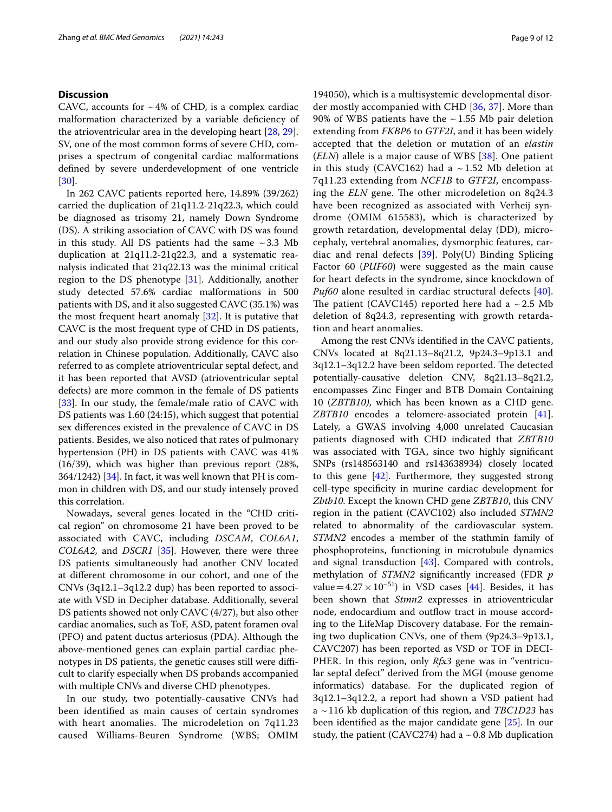# **Discussion**

CAVC, accounts for  $\sim$  4% of CHD, is a complex cardiac malformation characterized by a variable defciency of the atrioventricular area in the developing heart [\[28](#page-11-1), [29](#page-11-2)]. SV, one of the most common forms of severe CHD, comprises a spectrum of congenital cardiac malformations defned by severe underdevelopment of one ventricle [[30\]](#page-11-3).

In 262 CAVC patients reported here, 14.89% (39/262) carried the duplication of 21q11.2-21q22.3, which could be diagnosed as trisomy 21, namely Down Syndrome (DS). A striking association of CAVC with DS was found in this study. All DS patients had the same  $\sim$  3.3 Mb duplication at 21q11.2-21q22.3, and a systematic reanalysis indicated that 21q22.13 was the minimal critical region to the DS phenotype [\[31\]](#page-11-4). Additionally, another study detected 57.6% cardiac malformations in 500 patients with DS, and it also suggested CAVC (35.1%) was the most frequent heart anomaly [\[32](#page-11-5)]. It is putative that CAVC is the most frequent type of CHD in DS patients, and our study also provide strong evidence for this correlation in Chinese population. Additionally, CAVC also referred to as complete atrioventricular septal defect, and it has been reported that AVSD (atrioventricular septal defects) are more common in the female of DS patients [[33\]](#page-11-6). In our study, the female/male ratio of CAVC with DS patients was 1.60 (24:15), which suggest that potential sex diferences existed in the prevalence of CAVC in DS patients. Besides, we also noticed that rates of pulmonary hypertension (PH) in DS patients with CAVC was 41% (16/39), which was higher than previous report (28%,  $364/1242$ ) [ $34$ ]. In fact, it was well known that PH is common in children with DS, and our study intensely proved this correlation.

Nowadays, several genes located in the "CHD critical region" on chromosome 21 have been proved to be associated with CAVC, including *DSCAM*, *COL6A1*, *COL6A2*, and *DSCR1* [\[35](#page-11-8)]. However, there were three DS patients simultaneously had another CNV located at diferent chromosome in our cohort, and one of the CNVs (3q12.1–3q12.2 dup) has been reported to associate with VSD in Decipher database. Additionally, several DS patients showed not only CAVC (4/27), but also other cardiac anomalies, such as ToF, ASD, patent foramen oval (PFO) and patent ductus arteriosus (PDA). Although the above-mentioned genes can explain partial cardiac phenotypes in DS patients, the genetic causes still were difficult to clarify especially when DS probands accompanied with multiple CNVs and diverse CHD phenotypes.

In our study, two potentially-causative CNVs had been identifed as main causes of certain syndromes with heart anomalies. The microdeletion on 7q11.23 caused Williams-Beuren Syndrome (WBS; OMIM

194050), which is a multisystemic developmental disorder mostly accompanied with CHD [\[36](#page-11-9), [37\]](#page-11-10). More than 90% of WBS patients have the  $\sim$  1.55 Mb pair deletion extending from *FKBP6* to *GTF2I*, and it has been widely accepted that the deletion or mutation of an *elastin* (*ELN*) allele is a major cause of WBS [[38](#page-11-11)]. One patient in this study (CAVC162) had a  $\sim$  1.52 Mb deletion at 7q11.23 extending from *NCF1B* to *GTF2I*, encompassing the *ELN* gene. The other microdeletion on 8q24.3 have been recognized as associated with Verheij syndrome (OMIM 615583), which is characterized by growth retardation, developmental delay (DD), microcephaly, vertebral anomalies, dysmorphic features, cardiac and renal defects [\[39](#page-11-12)]. Poly(U) Binding Splicing Factor 60 (*PUF60*) were suggested as the main cause for heart defects in the syndrome, since knockdown of *Puf60* alone resulted in cardiac structural defects [[40](#page-11-13)]. The patient (CAVC145) reported here had a  $\sim$  2.5 Mb deletion of 8q24.3, representing with growth retardation and heart anomalies.

Among the rest CNVs identifed in the CAVC patients, CNVs located at 8q21.13–8q21.2, 9p24.3–9p13.1 and  $3q12.1-3q12.2$  have been seldom reported. The detected potentially-causative deletion CNV, 8q21.13–8q21.2, encompasses Zinc Finger and BTB Domain Containing 10 (*ZBTB10)*, which has been known as a CHD gene. *ZBTB10* encodes a telomere-associated protein [\[41](#page-11-14)]. Lately, a GWAS involving 4,000 unrelated Caucasian patients diagnosed with CHD indicated that *ZBTB10* was associated with TGA, since two highly signifcant SNPs (rs148563140 and rs143638934) closely located to this gene [\[42](#page-11-15)]. Furthermore, they suggested strong cell-type specifcity in murine cardiac development for *Zbtb10*. Except the known CHD gene *ZBTB10*, this CNV region in the patient (CAVC102) also included *STMN2* related to abnormality of the cardiovascular system. *STMN2* encodes a member of the stathmin family of phosphoproteins, functioning in microtubule dynamics and signal transduction [[43](#page-11-16)]. Compared with controls, methylation of *STMN2* signifcantly increased (FDR *p* value =  $4.27 \times 10^{-51}$ ) in VSD cases [\[44\]](#page-11-17). Besides, it has been shown that *Stmn2* expresses in atrioventricular node, endocardium and outflow tract in mouse according to the LifeMap Discovery database. For the remaining two duplication CNVs, one of them (9p24.3–9p13.1, CAVC207) has been reported as VSD or TOF in DECI-PHER. In this region, only *Rfx3* gene was in "ventricular septal defect" derived from the MGI (mouse genome informatics) database. For the duplicated region of 3q12.1–3q12.2, a report had shown a VSD patient had a ~116 kb duplication of this region, and *TBC1D23* has been identifed as the major candidate gene [[25\]](#page-10-22). In our study, the patient (CAVC274) had a  $\sim$  0.8 Mb duplication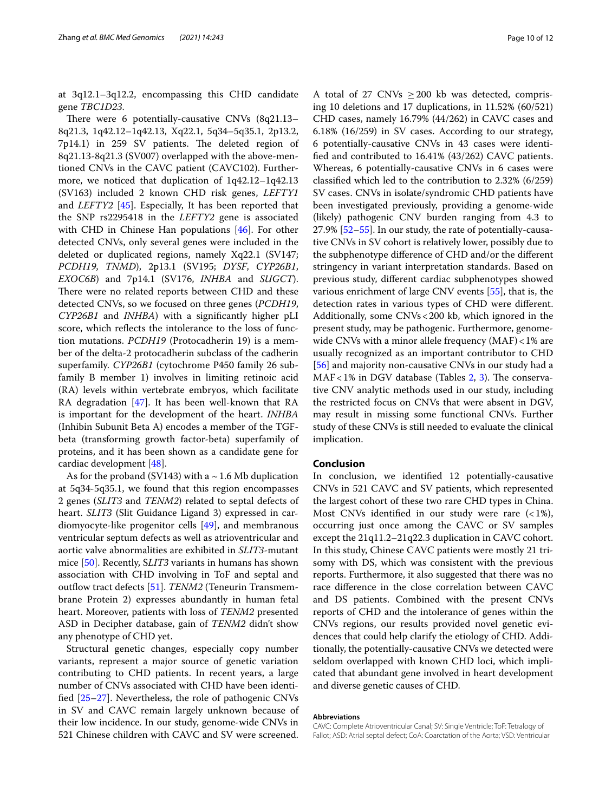at 3q12.1–3q12.2, encompassing this CHD candidate gene *TBC1D23*.

There were 6 potentially-causative CNVs  $(8q21.13-$ 8q21.3, 1q42.12–1q42.13, Xq22.1, 5q34–5q35.1, 2p13.2, 7p14.1) in 259 SV patients. The deleted region of 8q21.13-8q21.3 (SV007) overlapped with the above-mentioned CNVs in the CAVC patient (CAVC102). Furthermore, we noticed that duplication of 1q42.12–1q42.13 (SV163) included 2 known CHD risk genes, *LEFTY1* and *LEFTY2* [\[45](#page-11-18)]. Especially, It has been reported that the SNP rs2295418 in the *LEFTY2* gene is associated with CHD in Chinese Han populations [\[46](#page-11-19)]. For other detected CNVs, only several genes were included in the deleted or duplicated regions, namely Xq22.1 (SV147; *PCDH19*, *TNMD*), 2p13.1 (SV195; *DYSF*, *CYP26B1*, *EXOC6B*) and 7p14.1 (SV176, *INHBA* and *SUGCT*). There were no related reports between CHD and these detected CNVs, so we focused on three genes (*PCDH19*, *CYP26B1* and *INHBA*) with a signifcantly higher pLI score, which refects the intolerance to the loss of function mutations. *PCDH19* (Protocadherin 19) is a member of the delta-2 protocadherin subclass of the cadherin superfamily. *CYP26B1* (cytochrome P450 family 26 subfamily B member 1) involves in limiting retinoic acid (RA) levels within vertebrate embryos, which facilitate RA degradation [\[47\]](#page-11-20). It has been well-known that RA is important for the development of the heart. *INHBA* (Inhibin Subunit Beta A) encodes a member of the TGFbeta (transforming growth factor-beta) superfamily of proteins, and it has been shown as a candidate gene for cardiac development [\[48\]](#page-11-21).

As for the proband (SV143) with a  $\sim$  1.6 Mb duplication at 5q34-5q35.1, we found that this region encompasses 2 genes (*SLIT3* and *TENM2*) related to septal defects of heart. *SLIT3* (Slit Guidance Ligand 3) expressed in cardiomyocyte-like progenitor cells [\[49](#page-11-22)], and membranous ventricular septum defects as well as atrioventricular and aortic valve abnormalities are exhibited in *SLIT3*-mutant mice [\[50\]](#page-11-23). Recently, S*LIT3* variants in humans has shown association with CHD involving in ToF and septal and outflow tract defects [\[51](#page-11-24)]. *TENM2* (Teneurin Transmembrane Protein 2) expresses abundantly in human fetal heart. Moreover, patients with loss of *TENM2* presented ASD in Decipher database, gain of *TENM2* didn't show any phenotype of CHD yet.

Structural genetic changes, especially copy number variants, represent a major source of genetic variation contributing to CHD patients. In recent years, a large number of CNVs associated with CHD have been identifed [\[25](#page-10-22)[–27\]](#page-11-0). Nevertheless, the role of pathogenic CNVs in SV and CAVC remain largely unknown because of their low incidence. In our study, genome-wide CNVs in 521 Chinese children with CAVC and SV were screened.

A total of 27 CNVs  $\geq$  200 kb was detected, comprising 10 deletions and 17 duplications, in 11.52% (60/521) CHD cases, namely 16.79% (44/262) in CAVC cases and 6.18% (16/259) in SV cases. According to our strategy, 6 potentially-causative CNVs in 43 cases were identifed and contributed to 16.41% (43/262) CAVC patients. Whereas, 6 potentially-causative CNVs in 6 cases were classifed which led to the contribution to 2.32% (6/259) SV cases. CNVs in isolate/syndromic CHD patients have been investigated previously, providing a genome-wide (likely) pathogenic CNV burden ranging from 4.3 to 27.9% [\[52–](#page-11-25)[55\]](#page-11-26). In our study, the rate of potentially-causative CNVs in SV cohort is relatively lower, possibly due to the subphenotype diference of CHD and/or the diferent stringency in variant interpretation standards. Based on previous study, diferent cardiac subphenotypes showed various enrichment of large CNV events [\[55\]](#page-11-26), that is, the detection rates in various types of CHD were diferent. Additionally, some CNVs<200 kb, which ignored in the present study, may be pathogenic. Furthermore, genomewide CNVs with a minor allele frequency (MAF)<1% are usually recognized as an important contributor to CHD [[56\]](#page-11-27) and majority non-causative CNVs in our study had a  $MAF < 1\%$  in DGV database (Tables [2](#page-3-0), [3](#page-6-0)). The conservative CNV analytic methods used in our study, including the restricted focus on CNVs that were absent in DGV, may result in missing some functional CNVs. Further study of these CNVs is still needed to evaluate the clinical implication.

# **Conclusion**

In conclusion, we identifed 12 potentially-causative CNVs in 521 CAVC and SV patients, which represented the largest cohort of these two rare CHD types in China. Most CNVs identified in our study were rare  $($  <math>1\%), occurring just once among the CAVC or SV samples except the 21q11.2–21q22.3 duplication in CAVC cohort. In this study, Chinese CAVC patients were mostly 21 trisomy with DS, which was consistent with the previous reports. Furthermore, it also suggested that there was no race diference in the close correlation between CAVC and DS patients. Combined with the present CNVs reports of CHD and the intolerance of genes within the CNVs regions, our results provided novel genetic evidences that could help clarify the etiology of CHD. Additionally, the potentially-causative CNVs we detected were seldom overlapped with known CHD loci, which implicated that abundant gene involved in heart development and diverse genetic causes of CHD.

#### **Abbreviations**

CAVC: Complete Atrioventricular Canal; SV: Single Ventricle; ToF: Tetralogy of Fallot; ASD: Atrial septal defect; CoA: Coarctation of the Aorta; VSD: Ventricular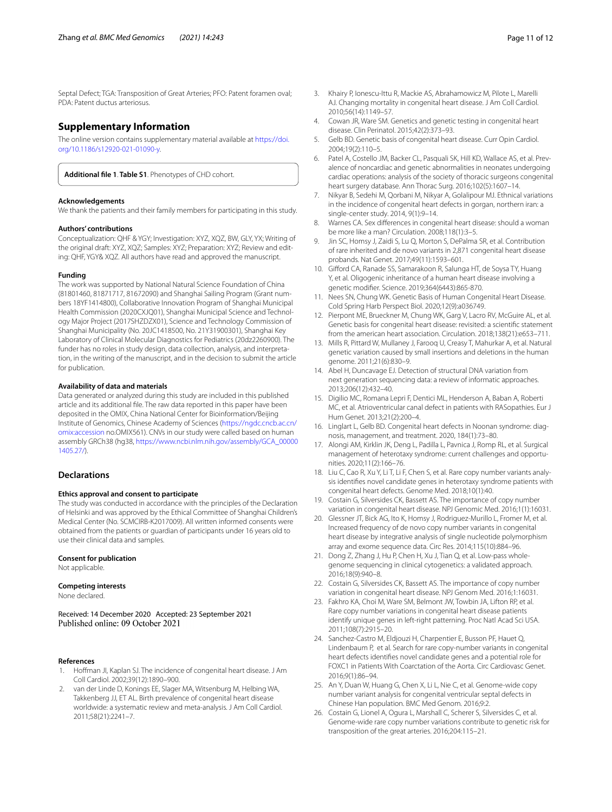Septal Defect; TGA: Transposition of Great Arteries; PFO: Patent foramen oval; PDA: Patent ductus arteriosus.

# **Supplementary Information**

The online version contains supplementary material available at [https://doi.](https://doi.org/10.1186/s12920-021-01090-y) [org/10.1186/s12920-021-01090-y.](https://doi.org/10.1186/s12920-021-01090-y)

<span id="page-10-23"></span>**Additional fle 1**. **Table S1**. Phenotypes of CHD cohort.

#### **Acknowledgements**

We thank the patients and their family members for participating in this study.

#### **Authors' contributions**

Conceptualization: QHF & YGY; Investigation: XYZ, XQZ, BW, GLY, YX; Writing of the original draft: XYZ, XQZ; Samples: XYZ; Preparation: XYZ; Review and editing: QHF, YGY& XQZ. All authors have read and approved the manuscript.

#### **Funding**

The work was supported by National Natural Science Foundation of China (81801460, 81871717, 81672090) and Shanghai Sailing Program (Grant numbers 18YF1414800), Collaborative Innovation Program of Shanghai Municipal Health Commission (2020CXJQ01), Shanghai Municipal Science and Technology Major Project (2017SHZDZX01), Science and Technology Commission of Shanghai Municipality (No. 20JC1418500, No. 21Y31900301), Shanghai Key Laboratory of Clinical Molecular Diagnostics for Pediatrics (20dz2260900). The funder has no roles in study design, data collection, analysis, and interpretation, in the writing of the manuscript, and in the decision to submit the article for publication.

#### **Availability of data and materials**

Data generated or analyzed during this study are included in this published article and its additional fle. The raw data reported in this paper have been deposited in the OMIX, China National Center for Bioinformation/Beijing Institute of Genomics, Chinese Academy of Sciences [\(https://ngdc.cncb.ac.cn/](https://ngdc.cncb.ac.cn/omix:accession) [omix:accession](https://ngdc.cncb.ac.cn/omix:accession) no.OMIX561). CNVs in our study were called based on human assembly GRCh38 (hg38, [https://www.ncbi.nlm.nih.gov/assembly/GCA\\_00000](https://www.ncbi.nlm.nih.gov/assembly/GCA_000001405.27/) [1405.27/\)](https://www.ncbi.nlm.nih.gov/assembly/GCA_000001405.27/).

# **Declarations**

## **Ethics approval and consent to participate**

The study was conducted in accordance with the principles of the Declaration of Helsinki and was approved by the Ethical Committee of Shanghai Children's Medical Center (No. SCMCIRB-K2017009). All written informed consents were obtained from the patients or guardian of participants under 16 years old to use their clinical data and samples.

#### **Consent for publication**

Not applicable.

#### **Competing interests**

None declared.

Received: 14 December 2020 Accepted: 23 September 2021<br>Published online: 09 October 2021

#### **References**

- <span id="page-10-0"></span>Hoffman JI, Kaplan SJ. The incidence of congenital heart disease. J Am Coll Cardiol. 2002;39(12):1890–900.
- <span id="page-10-1"></span>2. van der Linde D, Konings EE, Slager MA, Witsenburg M, Helbing WA, Takkenberg JJ, ET AL. Birth prevalence of congenital heart disease worldwide: a systematic review and meta-analysis. J Am Coll Cardiol. 2011;58(21):2241–7.
- <span id="page-10-2"></span>3. Khairy P, Ionescu-Ittu R, Mackie AS, Abrahamowicz M, Pilote L, Marelli AJ. Changing mortality in congenital heart disease. J Am Coll Cardiol. 2010;56(14):1149–57.
- <span id="page-10-3"></span>4. Cowan JR, Ware SM. Genetics and genetic testing in congenital heart disease. Clin Perinatol. 2015;42(2):373–93.
- 5. Gelb BD. Genetic basis of congenital heart disease. Curr Opin Cardiol. 2004;19(2):110–5.
- <span id="page-10-4"></span>6. Patel A, Costello JM, Backer CL, Pasquali SK, Hill KD, Wallace AS, et al. Prevalence of noncardiac and genetic abnormalities in neonates undergoing cardiac operations: analysis of the society of thoracic surgeons congenital heart surgery database. Ann Thorac Surg. 2016;102(5):1607–14.
- <span id="page-10-5"></span>7. Nikyar B, Sedehi M, Qorbani M, Nikyar A, Golalipour MJ. Ethnical variations in the incidence of congenital heart defects in gorgan, northern iran: a single-center study. 2014, 9(1):9–14.
- <span id="page-10-6"></span>8. Warnes CA. Sex diferences in congenital heart disease: should a woman be more like a man? Circulation. 2008;118(1):3–5.
- <span id="page-10-7"></span>9. Jin SC, Homsy J, Zaidi S, Lu Q, Morton S, DePalma SR, et al. Contribution of rare inherited and de novo variants in 2,871 congenital heart disease probands. Nat Genet. 2017;49(11):1593–601.
- <span id="page-10-8"></span>10. Giford CA, Ranade SS, Samarakoon R, Salunga HT, de Soysa TY, Huang Y, et al. Oligogenic inheritance of a human heart disease involving a genetic modifer. Science. 2019;364(6443):865-870.
- <span id="page-10-9"></span>11. Nees SN, Chung WK. Genetic Basis of Human Congenital Heart Disease. Cold Spring Harb Perspect Biol. 2020;12(9):a036749.
- <span id="page-10-10"></span>12. Pierpont ME, Brueckner M, Chung WK, Garg V, Lacro RV, McGuire AL, et al. Genetic basis for congenital heart disease: revisited: a scientifc statement from the american heart association. Circulation. 2018;138(21):e653–711.
- <span id="page-10-11"></span>13. Mills R, Pittard W, Mullaney J, Farooq U, Creasy T, Mahurkar A, et al. Natural genetic variation caused by small insertions and deletions in the human genome. 2011;21(6):830–9.
- <span id="page-10-12"></span>14. Abel H, Duncavage EJ. Detection of structural DNA variation from next generation sequencing data: a review of informatic approaches. 2013;206(12):432–40.
- <span id="page-10-13"></span>15. Digilio MC, Romana Lepri F, Dentici ML, Henderson A, Baban A, Roberti MC, et al. Atrioventricular canal defect in patients with RASopathies. Eur J Hum Genet. 2013;21(2):200–4.
- <span id="page-10-14"></span>16. Linglart L, Gelb BD. Congenital heart defects in Noonan syndrome: diagnosis, management, and treatment. 2020, 184(1):73–80.
- <span id="page-10-15"></span>17. Alongi AM, Kirklin JK, Deng L, Padilla L, Pavnica J, Romp RL, et al. Surgical management of heterotaxy syndrome: current challenges and opportunities. 2020;11(2):166–76.
- <span id="page-10-16"></span>18. Liu C, Cao R, Xu Y, Li T, Li F, Chen S, et al. Rare copy number variants analysis identifes novel candidate genes in heterotaxy syndrome patients with congenital heart defects. Genome Med. 2018;10(1):40.
- <span id="page-10-17"></span>19. Costain G, Silversides CK, Bassett AS. The importance of copy number variation in congenital heart disease. NPJ Genomic Med. 2016;1(1):16031.
- <span id="page-10-18"></span>20. Glessner JT, Bick AG, Ito K, Homsy J, Rodriguez-Murillo L, Fromer M, et al. Increased frequency of de novo copy number variants in congenital heart disease by integrative analysis of single nucleotide polymorphism array and exome sequence data. Circ Res. 2014;115(10):884–96.
- <span id="page-10-19"></span>21. Dong Z, Zhang J, Hu P, Chen H, Xu J, Tian Q, et al. Low-pass wholegenome sequencing in clinical cytogenetics: a validated approach. 2016;18(9):940–8.
- <span id="page-10-20"></span>22. Costain G, Silversides CK, Bassett AS. The importance of copy number variation in congenital heart disease. NPJ Genom Med. 2016;1:16031.
- 23. Fakhro KA, Choi M, Ware SM, Belmont JW, Towbin JA, Lifton RP, et al. Rare copy number variations in congenital heart disease patients identify unique genes in left-right patterning. Proc Natl Acad Sci USA. 2011;108(7):2915–20.
- <span id="page-10-21"></span>24. Sanchez-Castro M, Eldjouzi H, Charpentier E, Busson PF, Hauet Q, Lindenbaum P, et al. Search for rare copy-number variants in congenital heart defects identifes novel candidate genes and a potential role for FOXC1 in Patients With Coarctation of the Aorta. Circ Cardiovasc Genet. 2016;9(1):86–94.
- <span id="page-10-22"></span>25. An Y, Duan W, Huang G, Chen X, Li L, Nie C, et al. Genome-wide copy number variant analysis for congenital ventricular septal defects in Chinese Han population. BMC Med Genom. 2016;9:2.
- 26. Costain G, Lionel A, Ogura L, Marshall C, Scherer S, Silversides C, et al. Genome-wide rare copy number variations contribute to genetic risk for transposition of the great arteries. 2016;204:115–21.